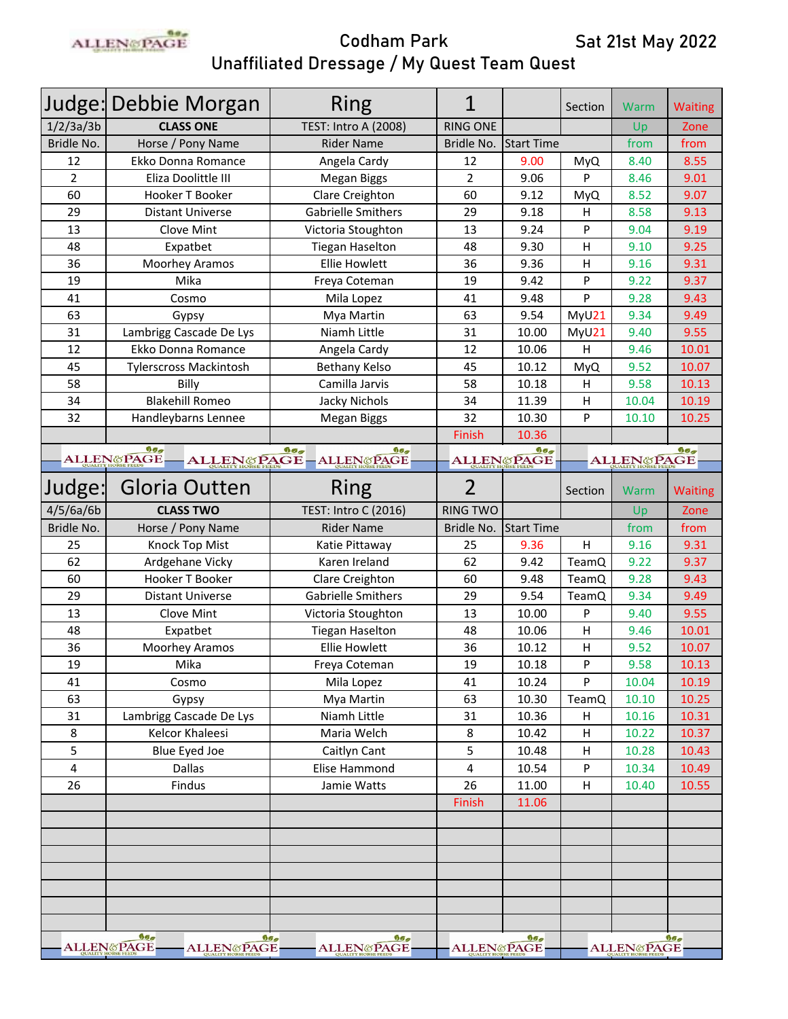

|                | Judge: Debbie Morgan                           | Ring                                  | 1                     |                   | Section                      | Warm                  | <b>Waiting</b>  |
|----------------|------------------------------------------------|---------------------------------------|-----------------------|-------------------|------------------------------|-----------------------|-----------------|
| 1/2/3a/3b      | <b>CLASS ONE</b>                               | <b>TEST: Intro A (2008)</b>           | <b>RING ONE</b>       |                   |                              | Up                    | Zone            |
| Bridle No.     | Horse / Pony Name                              | <b>Rider Name</b>                     | Bridle No.            | <b>Start Time</b> |                              | from                  | from            |
| 12             | Ekko Donna Romance                             | Angela Cardy                          | 12                    | 9.00              | MyQ                          | 8.40                  | 8.55            |
| $\overline{2}$ | Eliza Doolittle III                            | Megan Biggs                           | $\overline{2}$        | 9.06              | P                            | 8.46                  | 9.01            |
| 60             | Hooker T Booker                                | Clare Creighton                       | 60                    | 9.12              | MyQ                          | 8.52                  | 9.07            |
| 29             | <b>Distant Universe</b>                        | Gabrielle Smithers                    | 29                    | 9.18              | н                            | 8.58                  | 9.13            |
| 13             | Clove Mint                                     | Victoria Stoughton                    | 13                    | 9.24              | P                            | 9.04                  | 9.19            |
| 48             | Expatbet                                       | <b>Tiegan Haselton</b>                | 48                    | 9.30              | н                            | 9.10                  | 9.25            |
| 36             | Moorhey Aramos                                 | <b>Ellie Howlett</b>                  | 36                    | 9.36              | н                            | 9.16                  | 9.31            |
| 19             | Mika                                           | Freya Coteman                         | 19                    | 9.42              | P                            | 9.22                  | 9.37            |
| 41             | Cosmo                                          | Mila Lopez                            | 41                    | 9.48              | P                            | 9.28                  | 9.43            |
| 63             | Gypsy                                          | Mya Martin                            | 63                    | 9.54              | MyU21                        | 9.34                  | 9.49            |
| 31             | Lambrigg Cascade De Lys                        | Niamh Little                          | 31                    | 10.00             | MyU21                        | 9.40                  | 9.55            |
| 12             | Ekko Donna Romance                             | Angela Cardy                          | 12                    | 10.06             | н                            | 9.46                  | 10.01           |
| 45             | Tylerscross Mackintosh                         | <b>Bethany Kelso</b>                  | 45                    | 10.12             | MyQ                          | 9.52                  | 10.07           |
| 58             | Billy                                          | Camilla Jarvis                        | 58                    | 10.18             | Н                            | 9.58                  | 10.13           |
| 34             | <b>Blakehill Romeo</b>                         | Jacky Nichols                         | 34                    | 11.39             | н                            | 10.04                 | 10.19           |
| 32             | Handleybarns Lennee                            | <b>Megan Biggs</b>                    | 32                    | 10.30             | P                            | 10.10                 | 10.25           |
|                |                                                |                                       | Finish                | 10.36             |                              |                       |                 |
|                | 900<br>ALLENGPAGE-                             | 900<br>900<br>ALLEN&PAGE - ALLEN&PAGE |                       | ALLENGPAGE        | 900<br><b>ALLEN&amp;PAGE</b> |                       | 900             |
| Judge:         | Gloria Outten                                  | Ring                                  | $\overline{2}$        |                   | Section                      | Warm                  | <b>Waiting</b>  |
| 4/5/6a/6b      | <b>CLASS TWO</b>                               | TEST: Intro C (2016)                  | <b>RING TWO</b>       |                   |                              | Up                    | Zone            |
| Bridle No.     | Horse / Pony Name                              | <b>Rider Name</b>                     | Bridle No.            | <b>Start Time</b> |                              | from                  | from            |
| 25             | Knock Top Mist                                 | Katie Pittaway                        | 25                    | 9.36              | $\sf H$                      | 9.16                  | 9.31            |
| 62             | Ardgehane Vicky                                | Karen Ireland                         | 62                    | 9.42              | <b>TeamQ</b>                 | 9.22                  | 9.37            |
| 60             | Hooker T Booker                                | Clare Creighton                       | 60                    | 9.48              | TeamQ                        | 9.28                  | 9.43            |
| 29             | <b>Distant Universe</b>                        | Gabrielle Smithers                    | 29                    | 9.54              | TeamQ                        | 9.34                  | 9.49            |
| 13             | Clove Mint                                     | Victoria Stoughton                    | 13                    | 10.00             | P                            | 9.40                  | 9.55            |
| 48             | Expatbet                                       | <b>Tiegan Haselton</b>                | 48                    | 10.06             | н                            | 9.46                  | 10.01           |
| 36             | Moorhey Aramos                                 | <b>Ellie Howlett</b>                  | 36                    | 10.12             | Н                            | 9.52                  | 10.07           |
| 19             | Mika                                           | Freya Coteman                         | 19                    | 10.18             | P                            | 9.58                  | 10.13           |
| 41             | Cosmo                                          | Mila Lopez                            | 41                    | 10.24             | P                            | 10.04                 | 10.19           |
| 63             | Gypsy                                          | Mya Martin                            | 63                    | 10.30             | TeamQ                        | 10.10                 | 10.25           |
| 31             | Lambrigg Cascade De Lys                        | Niamh Little                          | 31                    | 10.36             | H                            | 10.16                 | 10.31           |
| 8              | <b>Kelcor Khaleesi</b>                         | Maria Welch                           | 8                     | 10.42             | $\sf H$                      | 10.22                 | 10.37           |
| 5              | <b>Blue Eyed Joe</b>                           | Caitlyn Cant                          | 5                     | 10.48             | H                            | 10.28                 | 10.43           |
| 4              | <b>Dallas</b>                                  | Elise Hammond                         | 4                     | 10.54             | P                            | 10.34                 | 10.49           |
| 26             | Findus                                         | Jamie Watts                           | 26                    | 11.00             | H                            | 10.40                 | 10.55           |
|                |                                                |                                       | Finish                | 11.06             |                              |                       |                 |
|                |                                                |                                       |                       |                   |                              |                       |                 |
|                |                                                |                                       |                       |                   |                              |                       |                 |
|                |                                                |                                       |                       |                   |                              |                       |                 |
|                |                                                |                                       |                       |                   |                              |                       |                 |
|                |                                                |                                       |                       |                   |                              |                       |                 |
|                |                                                |                                       |                       |                   |                              |                       |                 |
|                | 999                                            | 999<br>99 <sub>2</sub>                |                       | 999               |                              |                       | 99 <sub>2</sub> |
|                | <b>ALLEN&amp;PAGE</b><br><b>ALLEN&amp;PAGE</b> | <b>ALLEN&amp;PAGE</b>                 | <b>ALLEN&amp;PAGE</b> |                   |                              | <b>ALLEN&amp;PAGE</b> |                 |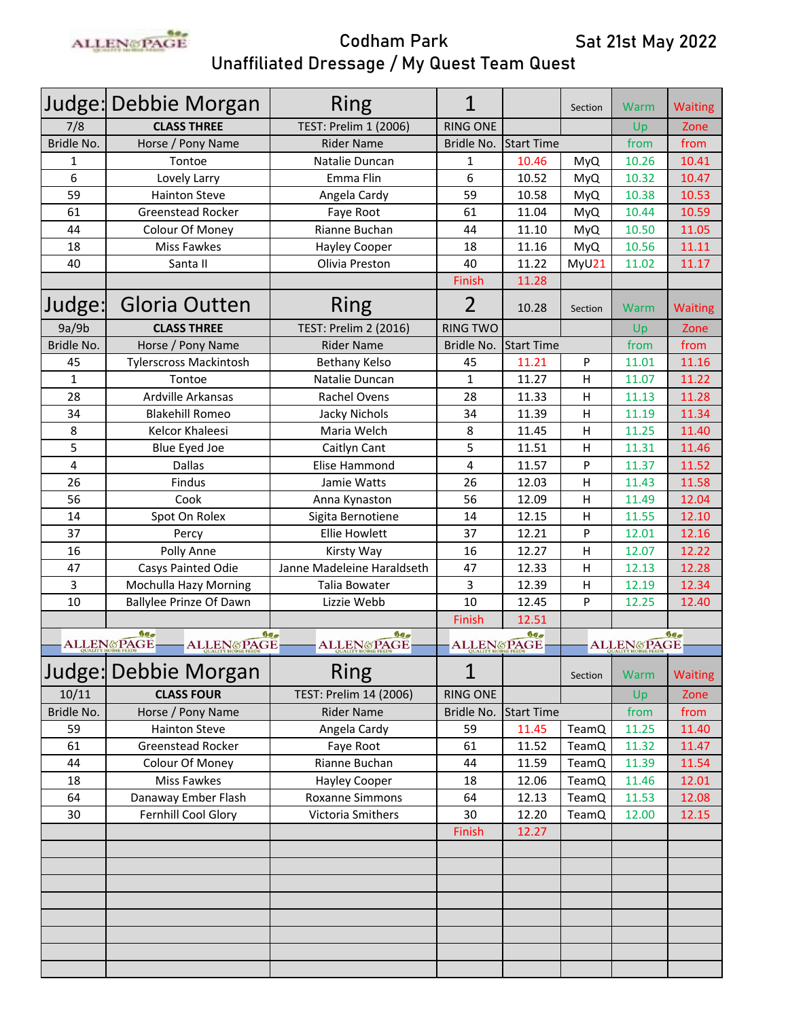

|              | Judge: Debbie Morgan                                  | <b>Ring</b>                                                 | 1               |                   | Section      | Warm                                 | <b>Waiting</b> |
|--------------|-------------------------------------------------------|-------------------------------------------------------------|-----------------|-------------------|--------------|--------------------------------------|----------------|
| 7/8          | <b>CLASS THREE</b>                                    | TEST: Prelim 1 (2006)                                       | <b>RING ONE</b> |                   |              | Up                                   | Zone           |
| Bridle No.   | Horse / Pony Name                                     | <b>Rider Name</b>                                           | Bridle No.      | <b>Start Time</b> |              | from                                 | from           |
| 1            | Tontoe                                                | Natalie Duncan                                              | 1               | 10.46             | <b>MyQ</b>   | 10.26                                | 10.41          |
| 6            | Lovely Larry                                          | Emma Flin                                                   | 6               | 10.52             | <b>MyQ</b>   | 10.32                                | 10.47          |
| 59           | <b>Hainton Steve</b>                                  | Angela Cardy                                                | 59              | 10.58             | <b>MyQ</b>   | 10.38                                | 10.53          |
| 61           | <b>Greenstead Rocker</b>                              | Faye Root                                                   | 61              | 11.04             | <b>MyQ</b>   | 10.44                                | 10.59          |
| 44           | Colour Of Money                                       | Rianne Buchan                                               | 44              | 11.10             | <b>MyQ</b>   | 10.50                                | 11.05          |
| 18           | Miss Fawkes                                           | <b>Hayley Cooper</b>                                        | 18              | 11.16             | <b>MyQ</b>   | 10.56                                | 11.11          |
| 40           | Santa II                                              | Olivia Preston                                              | 40              | 11.22             | MyU21        | 11.02                                | 11.17          |
|              |                                                       |                                                             | Finish          | 11.28             |              |                                      |                |
| Judge:       | Gloria Outten                                         | Ring                                                        | $\overline{2}$  | 10.28<br>Section  |              | Warm                                 | <b>Waiting</b> |
| 9a/9b        | <b>CLASS THREE</b>                                    | <b>TEST: Prelim 2 (2016)</b>                                | <b>RING TWO</b> |                   |              | Up                                   | Zone           |
| Bridle No.   | Horse / Pony Name                                     | <b>Rider Name</b>                                           | Bridle No.      | <b>Start Time</b> |              | from                                 | from           |
| 45           | <b>Tylerscross Mackintosh</b>                         | <b>Bethany Kelso</b>                                        | 45              | 11.21             | P            | 11.01                                | 11.16          |
| $\mathbf{1}$ | Tontoe                                                | Natalie Duncan                                              | $\mathbf{1}$    | 11.27             | H            | 11.07                                | 11.22          |
| 28           | Ardville Arkansas                                     | <b>Rachel Ovens</b>                                         | 28              | 11.33             | $\sf H$      | 11.13                                | 11.28          |
| 34           | <b>Blakehill Romeo</b>                                | Jacky Nichols                                               | 34              | 11.39             | H            | 11.19                                | 11.34          |
| 8            | Kelcor Khaleesi                                       | Maria Welch                                                 | 8               | 11.45             | $\mathsf{H}$ | 11.25                                | 11.40          |
| 5            | Blue Eyed Joe                                         | Caitlyn Cant                                                | 5               | 11.51             | н            | 11.31                                | 11.46          |
| 4            | <b>Dallas</b>                                         | Elise Hammond                                               | 4               | 11.57             | P            | 11.37                                | 11.52          |
| 26           | Findus                                                | Jamie Watts                                                 | 26              | 12.03             | H            | 11.43                                | 11.58          |
| 56           | Cook                                                  | Anna Kynaston                                               | 56              | 12.09             | H            | 11.49                                | 12.04          |
| 14           | Spot On Rolex                                         | Sigita Bernotiene                                           | 14              | 12.15             | H            | 11.55                                | 12.10          |
| 37           | Percy                                                 | <b>Ellie Howlett</b>                                        | 37              | 12.21             | P            | 12.01                                | 12.16          |
| 16           | Polly Anne                                            | Kirsty Way                                                  | 16              | 12.27             | $\sf H$      | 12.07                                | 12.22          |
| 47           | <b>Casys Painted Odie</b>                             | Janne Madeleine Haraldseth                                  | 47              | 12.33             | $\sf H$      | 12.13                                | 12.28          |
| 3            | <b>Mochulla Hazy Morning</b>                          | <b>Talia Bowater</b>                                        | 3               | 12.39             | H            | 12.19                                | 12.34          |
| 10           | <b>Ballylee Prinze Of Dawn</b>                        | Lizzie Webb                                                 | 10              | 12.45             | P            | 12.25                                | 12.40          |
|              |                                                       |                                                             | Finish          | 12.51             |              |                                      |                |
|              | 999<br><b>ALLEN&amp;PAGE</b><br><b>ALLEN&amp;PAGE</b> | 99 <sub>2</sub><br>99 <sub>2</sub><br><b>ALLEN&amp;PAGE</b> |                 | 99 <sub>g</sub>   |              | 90 <sub>0</sub><br><b>ALLENGPAGE</b> |                |
|              |                                                       |                                                             |                 | <b>ALLENGPAGE</b> |              |                                      |                |
|              | Judge: Debbie Morgan                                  | Ring                                                        | 1               |                   | Section      | Warm                                 | <b>Waiting</b> |
| 10/11        | <b>CLASS FOUR</b>                                     | TEST: Prelim 14 (2006)                                      | <b>RING ONE</b> |                   |              | Up                                   | Zone           |
| Bridle No.   | Horse / Pony Name                                     | <b>Rider Name</b>                                           | Bridle No.      | <b>Start Time</b> |              | from                                 | from           |
| 59           | <b>Hainton Steve</b>                                  | Angela Cardy                                                | 59              | 11.45             | TeamQ        | 11.25                                | 11.40          |
| 61           | Greenstead Rocker                                     | Faye Root                                                   | 61              | 11.52             | TeamQ        | 11.32                                | 11.47          |
| 44           | Colour Of Money                                       | Rianne Buchan                                               | 44              | 11.59             | TeamQ        | 11.39                                | 11.54          |
| 18           | Miss Fawkes                                           | Hayley Cooper                                               | 18              | 12.06             | TeamQ        | 11.46                                | 12.01          |
| 64           | Danaway Ember Flash                                   | Roxanne Simmons                                             | 64              | 12.13             | TeamQ        | 11.53                                | 12.08          |
| 30           | Fernhill Cool Glory                                   | Victoria Smithers                                           | 30              | 12.20             | TeamQ        | 12.00                                | 12.15          |
|              |                                                       |                                                             | Finish          | 12.27             |              |                                      |                |
|              |                                                       |                                                             |                 |                   |              |                                      |                |
|              |                                                       |                                                             |                 |                   |              |                                      |                |
|              |                                                       |                                                             |                 |                   |              |                                      |                |
|              |                                                       |                                                             |                 |                   |              |                                      |                |
|              |                                                       |                                                             |                 |                   |              |                                      |                |
|              |                                                       |                                                             |                 |                   |              |                                      |                |
|              |                                                       |                                                             |                 |                   |              |                                      |                |
|              |                                                       |                                                             |                 |                   |              |                                      |                |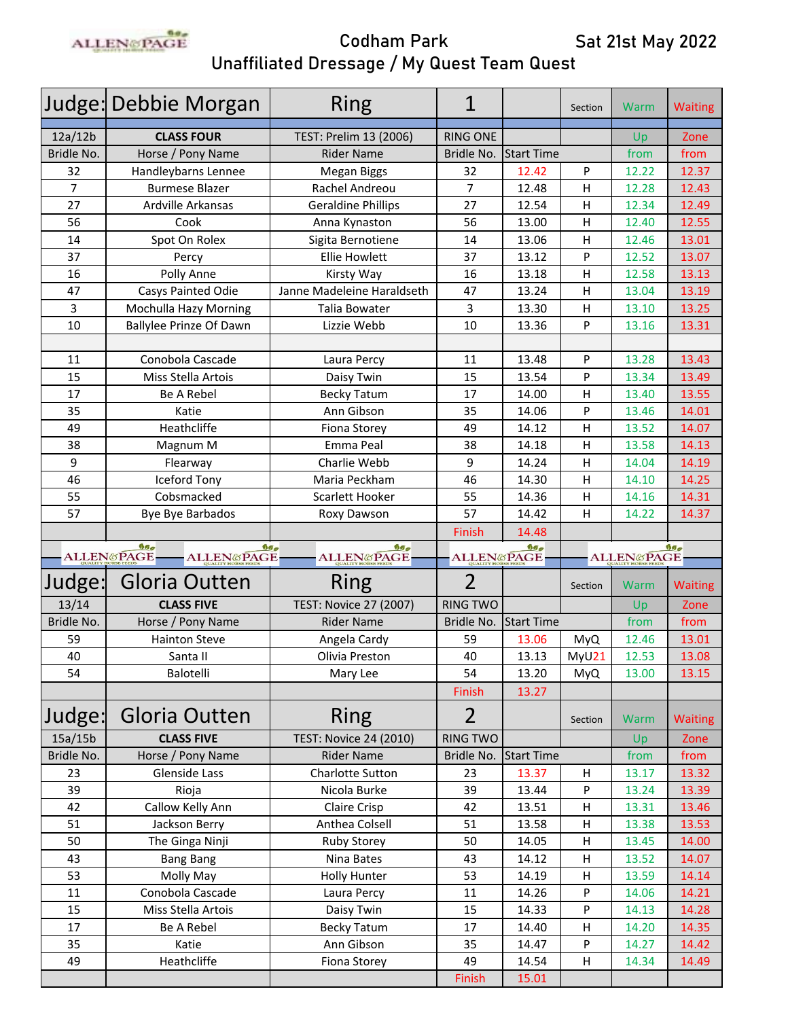

|                | Judge: Debbie Morgan                       | Ring                          | 1                     |                   | Section    | Warm                  | <b>Waiting</b> |
|----------------|--------------------------------------------|-------------------------------|-----------------------|-------------------|------------|-----------------------|----------------|
| 12a/12b        | <b>CLASS FOUR</b>                          | TEST: Prelim 13 (2006)        | <b>RING ONE</b>       |                   |            | Up                    | Zone           |
| Bridle No.     | Horse / Pony Name                          | <b>Rider Name</b>             | Bridle No.            | <b>Start Time</b> |            | from                  | from           |
| 32             | Handleybarns Lennee                        | Megan Biggs                   | 32                    | 12.42             | P          | 12.22                 | 12.37          |
| $\overline{7}$ | <b>Burmese Blazer</b>                      | Rachel Andreou                | $\overline{7}$        | 12.48             | H          | 12.28                 | 12.43          |
| 27             | Ardville Arkansas                          | <b>Geraldine Phillips</b>     | 27                    | 12.54             | H          | 12.34                 | 12.49          |
| 56             | Cook                                       | Anna Kynaston                 | 56                    | 13.00             | H          | 12.40                 | 12.55          |
| 14             | Spot On Rolex                              | Sigita Bernotiene             | 14                    | 13.06             | H          | 12.46                 | 13.01          |
| 37             | Percy                                      | <b>Ellie Howlett</b>          | 37                    | 13.12             | P          | 12.52                 | 13.07          |
| 16             | Polly Anne                                 | Kirsty Way                    | 16                    | 13.18             | H          | 12.58                 | 13.13          |
| 47             | <b>Casys Painted Odie</b>                  | Janne Madeleine Haraldseth    | 47                    | 13.24             | H          | 13.04                 | 13.19          |
| 3              | Mochulla Hazy Morning                      | Talia Bowater                 | 3                     | 13.30             | H          | 13.10                 | 13.25          |
| 10             | <b>Ballylee Prinze Of Dawn</b>             | Lizzie Webb                   | 10                    | 13.36             | P          | 13.16                 | 13.31          |
|                |                                            |                               |                       |                   |            |                       |                |
| 11             | Conobola Cascade                           | Laura Percy                   | 11                    | 13.48             | P          | 13.28                 | 13.43          |
| 15             | Miss Stella Artois                         | Daisy Twin                    | 15                    | 13.54             | P          | 13.34                 | 13.49          |
| 17             | <b>Be A Rebel</b>                          | <b>Becky Tatum</b>            | 17                    | 14.00             | H          | 13.40                 | 13.55          |
| 35             | Katie                                      | Ann Gibson                    | 35                    | 14.06             | P          | 13.46                 | 14.01          |
| 49             | Heathcliffe                                | Fiona Storey                  | 49                    | 14.12             | H          | 13.52                 | 14.07          |
| 38             | Magnum M                                   | Emma Peal                     | 38                    | 14.18             | H          | 13.58                 | 14.13          |
| 9              | Flearway                                   | Charlie Webb                  | 9                     | 14.24             | H          | 14.04                 | 14.19          |
| 46             | <b>Iceford Tony</b>                        | Maria Peckham                 | 46                    | 14.30             | H          | 14.10                 | 14.25          |
| 55             | Cobsmacked                                 | Scarlett Hooker               | 55                    | 14.36             | H          | 14.16                 | 14.31          |
| 57             | Bye Bye Barbados                           | Roxy Dawson                   | 57                    | 14.42             | H          | 14.22                 | 14.37          |
|                |                                            |                               | Finish                | 14.48             |            |                       |                |
|                |                                            |                               |                       |                   |            |                       |                |
|                | 90 <sub>o</sub><br>99 <sub>2</sub>         | 99 <sub>2</sub>               |                       | 9a                |            |                       | $90\sigma$     |
|                | <b>ALLENGPAGE</b><br><b>ALLEN&amp;PAGE</b> | <b>ALLEN&amp;PAGE</b>         | <b>ALLEN&amp;PAGE</b> |                   |            | <b>ALLEN&amp;PAGE</b> |                |
| Judge:         | Gloria Outten                              | Ring                          | $\overline{2}$        |                   | Section    | Warm                  | <b>Waiting</b> |
| 13/14          | <b>CLASS FIVE</b>                          | <b>TEST: Novice 27 (2007)</b> | <b>RING TWO</b>       |                   |            | Up                    | Zone           |
| Bridle No.     | Horse / Pony Name                          | <b>Rider Name</b>             | Bridle No.            | <b>Start Time</b> |            | from                  | from           |
| 59             | <b>Hainton Steve</b>                       | Angela Cardy                  | 59                    | 13.06             | <b>MyQ</b> | 12.46                 | 13.01          |
| 40             | Santa II                                   | Olivia Preston                | 40                    | 13.13             | MyU21      | 12.53                 | 13.08          |
| 54             | Balotelli                                  | Mary Lee                      | 54                    | 13.20             | <b>MyQ</b> | 13.00                 | 13.15          |
|                |                                            |                               | Finish                | 13.27             |            |                       |                |
| Judge:         | Gloria Outten                              | <b>Ring</b>                   | $\overline{2}$        |                   | Section    | Warm                  | <b>Waiting</b> |
| 15a/15b        | <b>CLASS FIVE</b>                          | <b>TEST: Novice 24 (2010)</b> | <b>RING TWO</b>       |                   |            | Up                    | Zone           |
| Bridle No.     | Horse / Pony Name                          | <b>Rider Name</b>             | Bridle No.            | <b>Start Time</b> |            | from                  | from           |
| 23             | Glenside Lass                              | Charlotte Sutton              | 23                    | 13.37             | H          | 13.17                 | 13.32          |
| 39             | Rioja                                      | Nicola Burke                  | 39                    | 13.44             | P          | 13.24                 | 13.39          |
| 42             | Callow Kelly Ann                           | Claire Crisp                  | 42                    | 13.51             | Н          | 13.31                 | 13.46          |
| 51             | Jackson Berry                              | Anthea Colsell                | 51                    | 13.58             | Н          | 13.38                 | 13.53          |
| 50             | The Ginga Ninji                            | <b>Ruby Storey</b>            | 50                    | 14.05             | Н          | 13.45                 | 14.00          |
| 43             | <b>Bang Bang</b>                           | Nina Bates                    | 43                    | 14.12             | H          | 13.52                 | 14.07          |
| 53             | Molly May                                  | <b>Holly Hunter</b>           | 53                    | 14.19             | H          | 13.59                 | 14.14          |
| 11             | Conobola Cascade                           | Laura Percy                   | 11                    | 14.26             | P          | 14.06                 | 14.21          |
| 15             | Miss Stella Artois                         | Daisy Twin                    | 15                    | 14.33             | P          | 14.13                 | 14.28          |
| 17             | Be A Rebel                                 | <b>Becky Tatum</b>            | 17                    | 14.40             | H          | 14.20                 | 14.35          |
| 35             | Katie                                      | Ann Gibson                    | 35                    | 14.47             | P          | 14.27                 | 14.42          |
| 49             | Heathcliffe                                | Fiona Storey                  | 49                    | 14.54             | H          | 14.34                 | 14.49          |